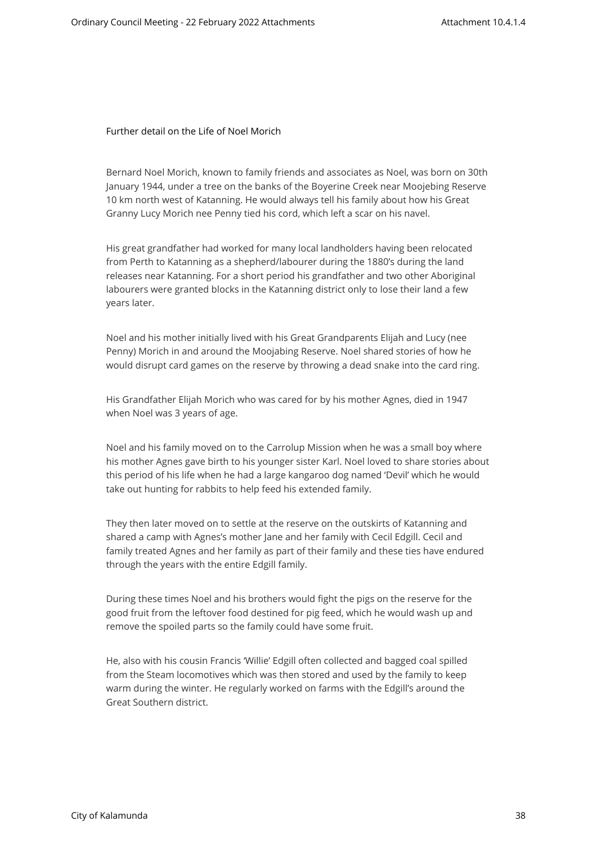Further detail on the Life of Noel Morich

Bernard Noel Morich, known to family friends and associates as Noel, was born on 30th January 1944, under a tree on the banks of the Boyerine Creek near Moojebing Reserve 10 km north west of Katanning. He would always tell his family about how his Great Granny Lucy Morich nee Penny tied his cord, which left a scar on his navel.

His great grandfather had worked for many local landholders having been relocated from Perth to Katanning as a shepherd/labourer during the 1880's during the land releases near Katanning. For a short period his grandfather and two other Aboriginal labourers were granted blocks in the Katanning district only to lose their land a few years later.

Noel and his mother initially lived with his Great Grandparents Elijah and Lucy (nee Penny) Morich in and around the Moojabing Reserve. Noel shared stories of how he would disrupt card games on the reserve by throwing a dead snake into the card ring.

His Grandfather Elijah Morich who was cared for by his mother Agnes, died in 1947 when Noel was 3 years of age.

Noel and his family moved on to the Carrolup Mission when he was a small boy where his mother Agnes gave birth to his younger sister Karl. Noel loved to share stories about this period of his life when he had a large kangaroo dog named 'Devil' which he would take out hunting for rabbits to help feed his extended family.

They then later moved on to settle at the reserve on the outskirts of Katanning and shared a camp with Agnes's mother Jane and her family with Cecil Edgill. Cecil and family treated Agnes and her family as part of their family and these ties have endured through the years with the entire Edgill family.

During these times Noel and his brothers would fight the pigs on the reserve for the good fruit from the leftover food destined for pig feed, which he would wash up and remove the spoiled parts so the family could have some fruit.

He, also with his cousin Francis 'Willie' Edgill often collected and bagged coal spilled from the Steam locomotives which was then stored and used by the family to keep warm during the winter. He regularly worked on farms with the Edgill's around the Great Southern district.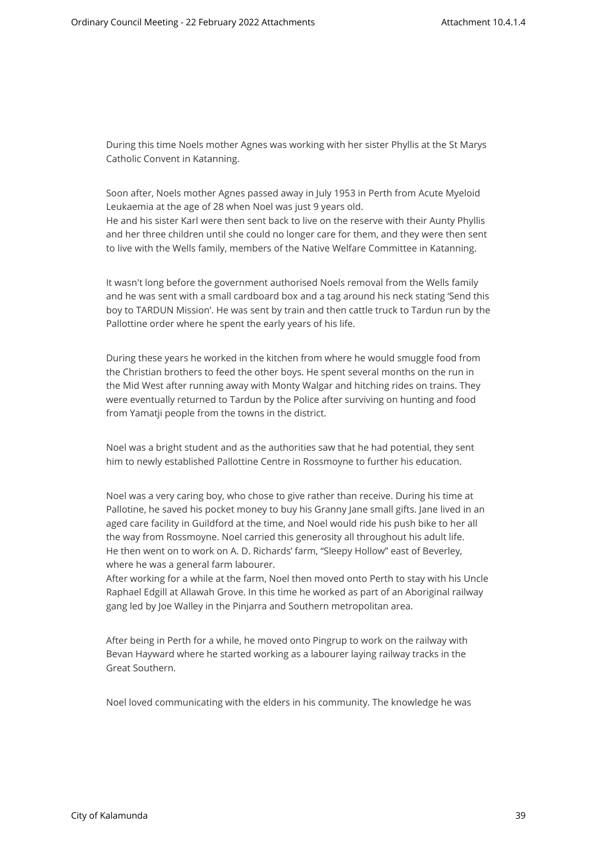During this time Noels mother Agnes was working with her sister Phyllis at the St Marys Catholic Convent in Katanning.

Soon after, Noels mother Agnes passed away in July 1953 in Perth from Acute Myeloid Leukaemia at the age of 28 when Noel was just 9 years old. He and his sister Karl were then sent back to live on the reserve with their Aunty Phyllis and her three children until she could no longer care for them, and they were then sent to live with the Wells family, members of the Native Welfare Committee in Katanning.

It wasn't long before the government authorised Noels removal from the Wells family and he was sent with a small cardboard box and a tag around his neck stating 'Send this boy to TARDUN Mission'. He was sent by train and then cattle truck to Tardun run by the Pallottine order where he spent the early years of his life.

During these years he worked in the kitchen from where he would smuggle food from the Christian brothers to feed the other boys. He spent several months on the run in the Mid West after running away with Monty Walgar and hitching rides on trains. They were eventually returned to Tardun by the Police after surviving on hunting and food from Yamatji people from the towns in the district.

Noel was a bright student and as the authorities saw that he had potential, they sent him to newly established Pallottine Centre in Rossmoyne to further his education.

Noel was a very caring boy, who chose to give rather than receive. During his time at Pallotine, he saved his pocket money to buy his Granny Jane small gifts. Jane lived in an aged care facility in Guildford at the time, and Noel would ride his push bike to her all the way from Rossmoyne. Noel carried this generosity all throughout his adult life. He then went on to work on A. D. Richards' farm, "Sleepy Hollow" east of Beverley, where he was a general farm labourer.

After working for a while at the farm, Noel then moved onto Perth to stay with his Uncle Raphael Edgill at Allawah Grove. In this time he worked as part of an Aboriginal railway gang led by Joe Walley in the Pinjarra and Southern metropolitan area.

After being in Perth for a while, he moved onto Pingrup to work on the railway with Bevan Hayward where he started working as a labourer laying railway tracks in the Great Southern.

Noel loved communicating with the elders in his community. The knowledge he was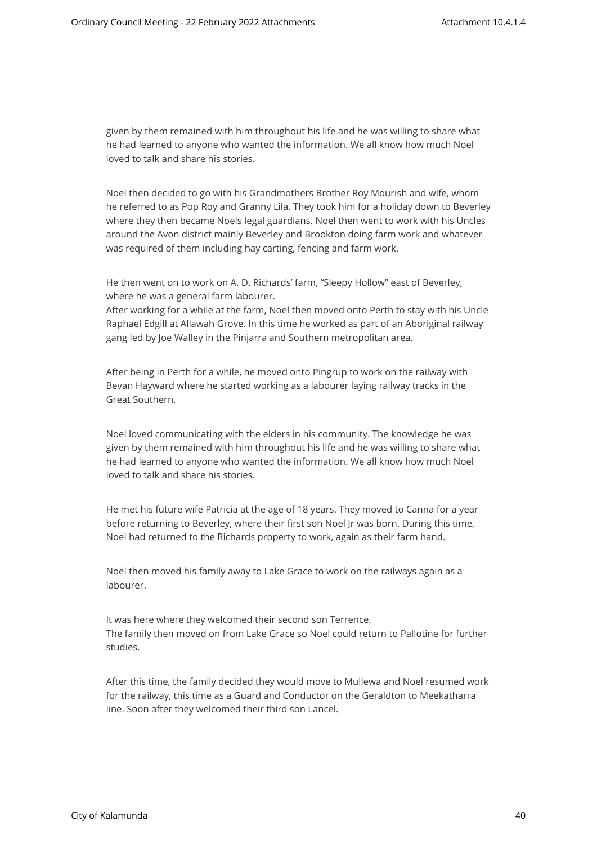given by them remained with him throughout his life and he was willing to share what he had learned to anyone who wanted the information. We all know how much Noel loved to talk and share his stories.

Noel then decided to go with his Grandmothers Brother Roy Mourish and wife, whom he referred to as Pop Roy and Granny Lila. They took him for a holiday down to Beverley where they then became Noels legal guardians. Noel then went to work with his Uncles around the Avon district mainly Beverley and Brookton doing farm work and whatever was required of them including hay carting, fencing and farm work.

He then went on to work on A. D. Richards' farm, "Sleepy Hollow" east of Beverley, where he was a general farm labourer.

After working for a while at the farm, Noel then moved onto Perth to stay with his Uncle Raphael Edgill at Allawah Grove. In this time he worked as part of an Aboriginal railway gang led by Joe Walley in the Pinjarra and Southern metropolitan area.

After being in Perth for a while, he moved onto Pingrup to work on the railway with Bevan Hayward where he started working as a labourer laying railway tracks in the Great Southern.

Noel loved communicating with the elders in his community. The knowledge he was given by them remained with him throughout his life and he was willing to share what he had learned to anyone who wanted the information. We all know how much Noel loved to talk and share his stories.

He met his future wife Patricia at the age of 18 years. They moved to Canna for a year before returning to Beverley, where their first son Noel Jr was born. During this time, Noel had returned to the Richards property to work, again as their farm hand.

Noel then moved his family away to Lake Grace to work on the railways again as a labourer.

It was here where they welcomed their second son Terrence. The family then moved on from Lake Grace so Noel could return to Pallotine for further studies.

After this time, the family decided they would move to Mullewa and Noel resumed work for the railway, this time as a Guard and Conductor on the Geraldton to Meekatharra line. Soon after they welcomed their third son Lancel.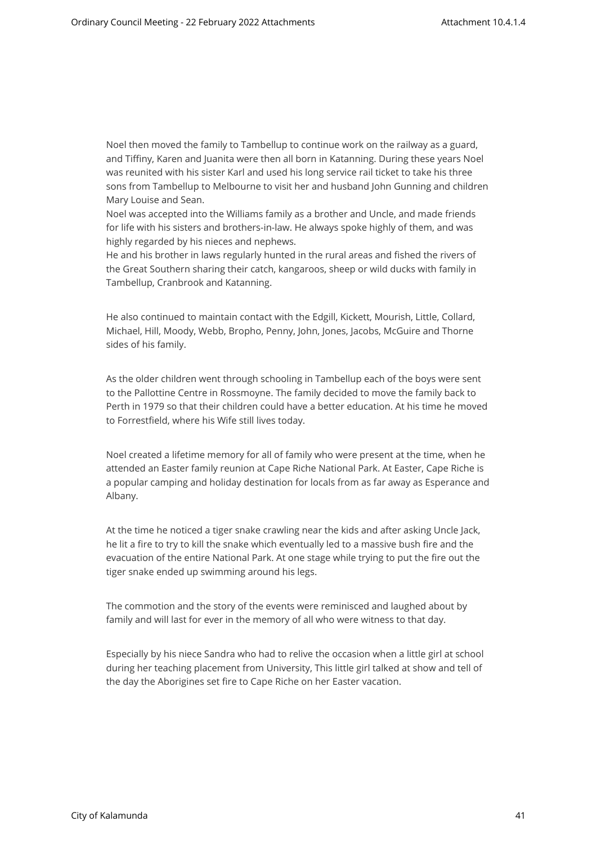Noel then moved the family to Tambellup to continue work on the railway as a guard, and Tiffiny, Karen and Juanita were then all born in Katanning. During these years Noel was reunited with his sister Karl and used his long service rail ticket to take his three sons from Tambellup to Melbourne to visit her and husband John Gunning and children Mary Louise and Sean.

Noel was accepted into the Williams family as a brother and Uncle, and made friends for life with his sisters and brothers-in-law. He always spoke highly of them, and was highly regarded by his nieces and nephews.

He and his brother in laws regularly hunted in the rural areas and fished the rivers of the Great Southern sharing their catch, kangaroos, sheep or wild ducks with family in Tambellup, Cranbrook and Katanning.

He also continued to maintain contact with the Edgill, Kickett, Mourish, Little, Collard, Michael, Hill, Moody, Webb, Bropho, Penny, John, Jones, Jacobs, McGuire and Thorne sides of his family.

As the older children went through schooling in Tambellup each of the boys were sent to the Pallottine Centre in Rossmoyne. The family decided to move the family back to Perth in 1979 so that their children could have a better education. At his time he moved to Forrestfield, where his Wife still lives today.

Noel created a lifetime memory for all of family who were present at the time, when he attended an Easter family reunion at Cape Riche National Park. At Easter, Cape Riche is a popular camping and holiday destination for locals from as far away as Esperance and Albany.

At the time he noticed a tiger snake crawling near the kids and after asking Uncle Jack, he lit a fire to try to kill the snake which eventually led to a massive bush fire and the evacuation of the entire National Park. At one stage while trying to put the fire out the tiger snake ended up swimming around his legs.

The commotion and the story of the events were reminisced and laughed about by family and will last for ever in the memory of all who were witness to that day.

Especially by his niece Sandra who had to relive the occasion when a little girl at school during her teaching placement from University, This little girl talked at show and tell of the day the Aborigines set fire to Cape Riche on her Easter vacation.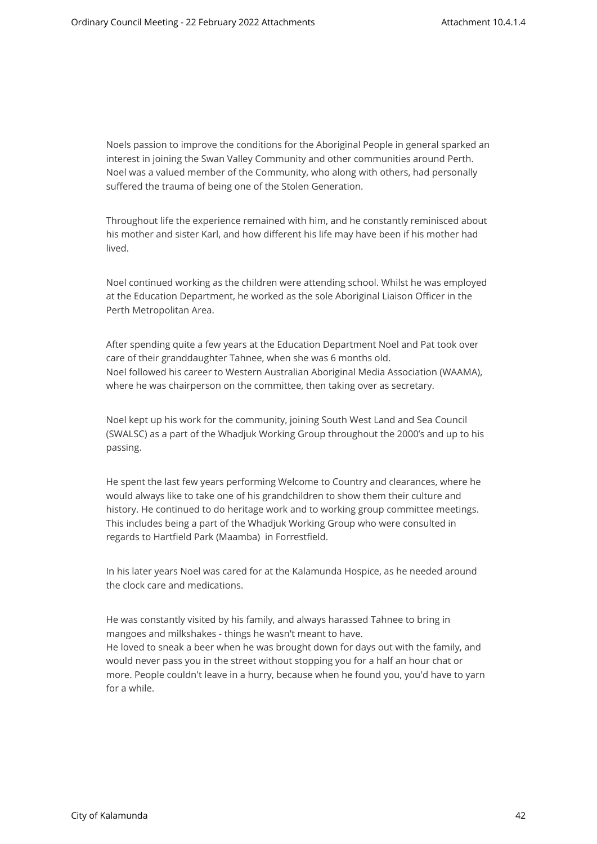Noels passion to improve the conditions for the Aboriginal People in general sparked an interest in joining the Swan Valley Community and other communities around Perth. Noel was a valued member of the Community, who along with others, had personally suffered the trauma of being one of the Stolen Generation.

Throughout life the experience remained with him, and he constantly reminisced about his mother and sister Karl, and how different his life may have been if his mother had lived.

Noel continued working as the children were attending school. Whilst he was employed at the Education Department, he worked as the sole Aboriginal Liaison Officer in the Perth Metropolitan Area.

After spending quite a few years at the Education Department Noel and Pat took over care of their granddaughter Tahnee, when she was 6 months old. Noel followed his career to Western Australian Aboriginal Media Association (WAAMA), where he was chairperson on the committee, then taking over as secretary.

Noel kept up his work for the community, joining South West Land and Sea Council (SWALSC) as a part of the Whadjuk Working Group throughout the 2000's and up to his passing.

He spent the last few years performing Welcome to Country and clearances, where he would always like to take one of his grandchildren to show them their culture and history. He continued to do heritage work and to working group committee meetings. This includes being a part of the Whadjuk Working Group who were consulted in regards to Hartfield Park (Maamba) in Forrestfield.

In his later years Noel was cared for at the Kalamunda Hospice, as he needed around the clock care and medications.

He was constantly visited by his family, and always harassed Tahnee to bring in mangoes and milkshakes - things he wasn't meant to have. He loved to sneak a beer when he was brought down for days out with the family, and would never pass you in the street without stopping you for a half an hour chat or more. People couldn't leave in a hurry, because when he found you, you'd have to yarn for a while.